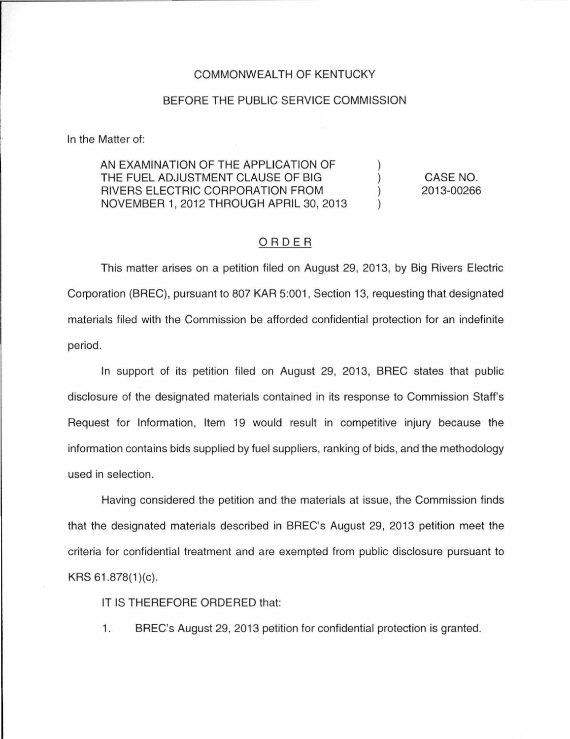## COMMONWEALTH OF KENTUCKY

## BEFORE THE PUBLIC SERVICE COMMISSION

In the Matter of:

AN EXAMINATION OF THE APPLICATION OF THE FUEL ADJUSTMENT CLAUSE OF BIG RIVERS ELECTRIC CORPORATION FROM NOVEMBER 1, 2012 THROUGH APRIL 30, 2013 ) ) ) )

CASE NO. 2013-00266

## ORDER

This matter arises on a petition filed on August 29, 2013, by Big Rivers Electric Corporation (BREC), pursuant to 807 KAR 5:001 , Section 13, requesting that designated materials filed with the Commission be afforded confidential protection for an indefinite period.

In support of its petition filed on August 29, 2013, BREC states that public disclosure of the designated materials contained in its response to Commission Staff's Request for Information, Item 19 would result in competitive injury because the information contains bids supplied by fuel suppliers, ranking of bids, and the methodology used in selection.

Having considered the petition and the materials at issue, the Commission finds that the designated materials described in BREC's August 29, 2013 petition meet the criteria for confidential treatment and are exempted from public disclosure pursuant to  $KRS 61.878(1)(c)$ .

IT IS THEREFORE ORDERED that:

1. BREC's August 29, 2013 petition for confidential protection is granted.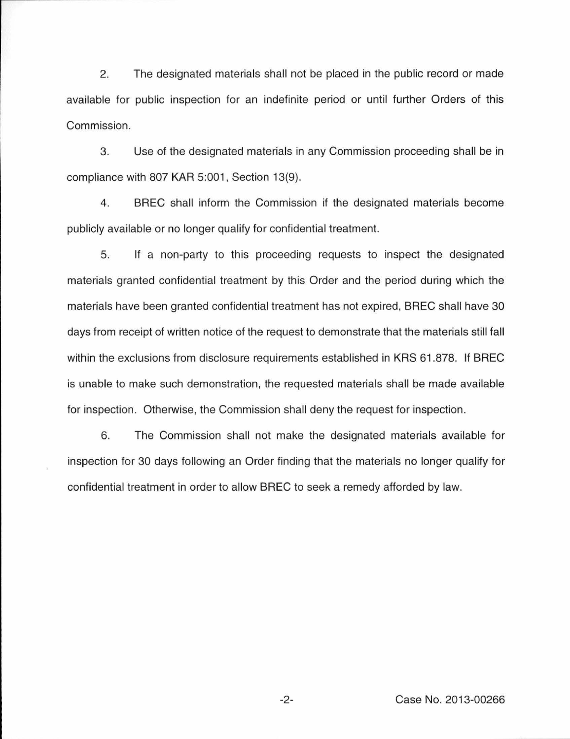2. The designated materials shall not be placed in the public record or made available for public inspection for an indefinite period or until further Orders of this Commission .

3. Use of the designated materials in any Commission proceeding shall be in compliance with 807 KAR 5:001, Section 13(9).

4 . BREC shall inform the Commission if the designated materials become publicly available or no longer qualify for confidential treatment.

5. If a non-party to this proceeding requests to inspect the designated materials granted confidential treatment by this Order and the period during which the materials have been granted confidential treatment has not expired, BREC shall have 30 days from receipt of written notice of the request to demonstrate that the materials still fall within the exclusions from disclosure requirements established in KRS 61 .878. If BREC is unable to make such demonstration, the requested materials shall be made available for inspection. Otherwise, the Commission shall deny the request for inspection.

6. The Commission shall not make the designated materials available for inspection for 30 days following an Order finding that the materials no longer qualify for confidential treatment in order to allow BREC to seek a remedy afforded by law.

-2- Case No. 2013-00266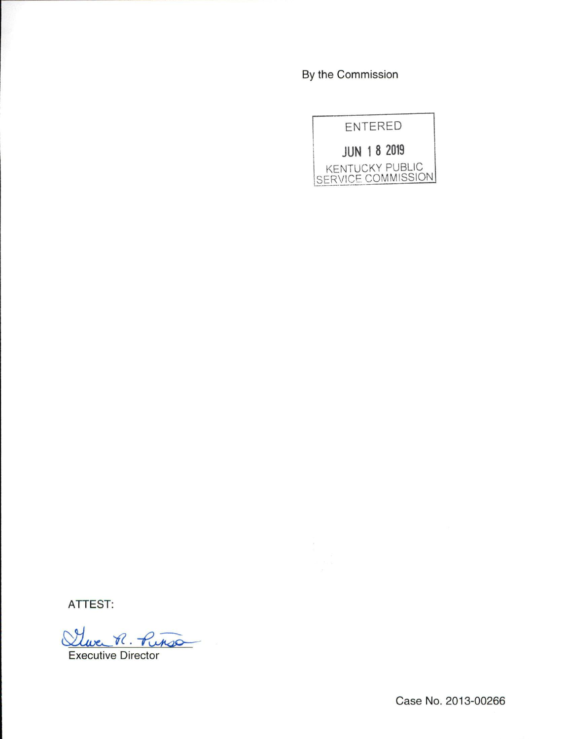By the Commission



ATTEST:

Twee R. Pinso

Executive Director